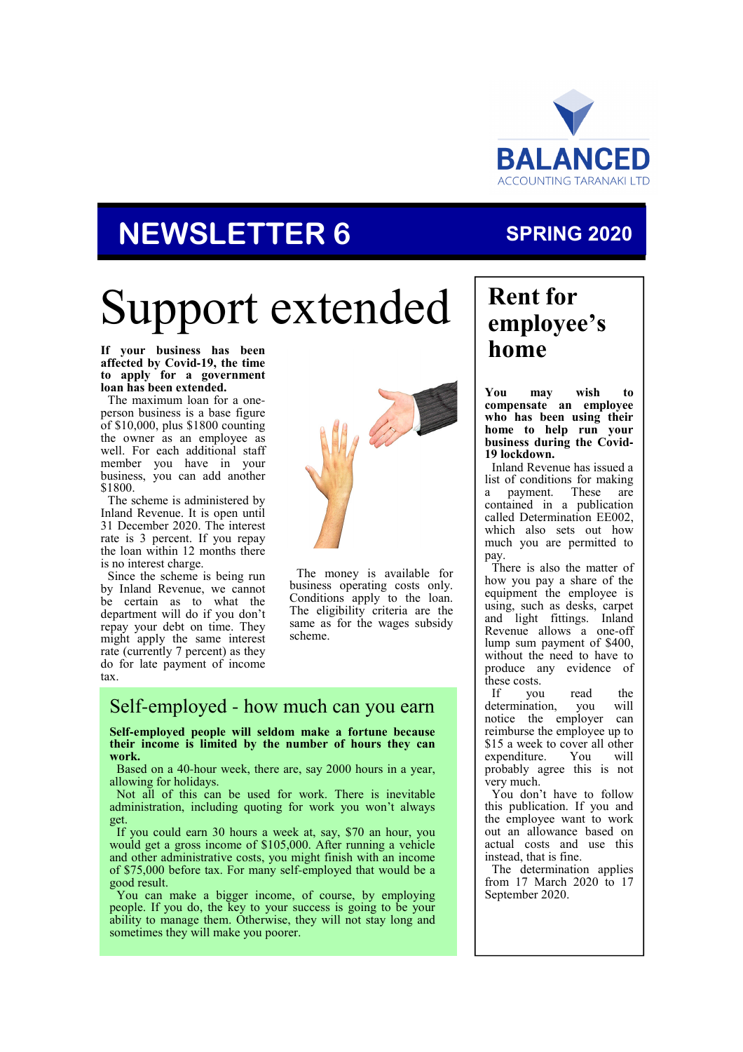

# **NEWSLETTER 6**

### **SPRING 2020**

# Support extended

**If your business has been affected by Covid-19, the time to apply for a government loan has been extended.** 

The maximum loan for a oneperson business is a base figure of \$10,000, plus \$1800 counting the owner as an employee as well. For each additional staff member you have in your business, you can add another \$1800.

The scheme is administered by Inland Revenue. It is open until 31 December 2020. The interest rate is 3 percent. If you repay the loan within 12 months there is no interest charge.

Since the scheme is being run by Inland Revenue, we cannot be certain as to what the department will do if you don't repay your debt on time. They might apply the same interest rate (currently 7 percent) as they do for late payment of income tax.



The money is available for business operating costs only. Conditions apply to the loan. The eligibility criteria are the same as for the wages subsidy scheme.

### Self-employed - how much can you earn

**Self-employed people will seldom make a fortune because their income is limited by the number of hours they can work.** 

Based on a 40-hour week, there are, say 2000 hours in a year, allowing for holidays.

Not all of this can be used for work. There is inevitable administration, including quoting for work you won't always get.

If you could earn 30 hours a week at, say, \$70 an hour, you would get a gross income of \$105,000. After running a vehicle and other administrative costs, you might finish with an income of \$75,000 before tax. For many self-employed that would be a good result.

You can make a bigger income, of course, by employing people. If you do, the key to your success is going to be your ability to manage them. Otherwise, they will not stay long and sometimes they will make you poorer.

### **Rent for employee's home**

**You may wish to compensate an employee who has been using their home to help run your business during the Covid-19 lockdown.** 

Inland Revenue has issued a list of conditions for making a payment. These are contained in a publication called Determination EE002, which also sets out how much you are permitted to pay.

There is also the matter of how you pay a share of the equipment the employee is using, such as desks, carpet and light fittings. Inland Revenue allows a one-off lump sum payment of \$400, without the need to have to produce any evidence of these costs.<br>If vou

you read the determination, you will notice the employer can reimburse the employee up to \$15 a week to cover all other<br>expenditure. You will expenditure. You will probably agree this is not very much.

You don't have to follow this publication. If you and the employee want to work out an allowance based on actual costs and use this instead, that is fine.

The determination applies from 17 March 2020 to 17 September 2020.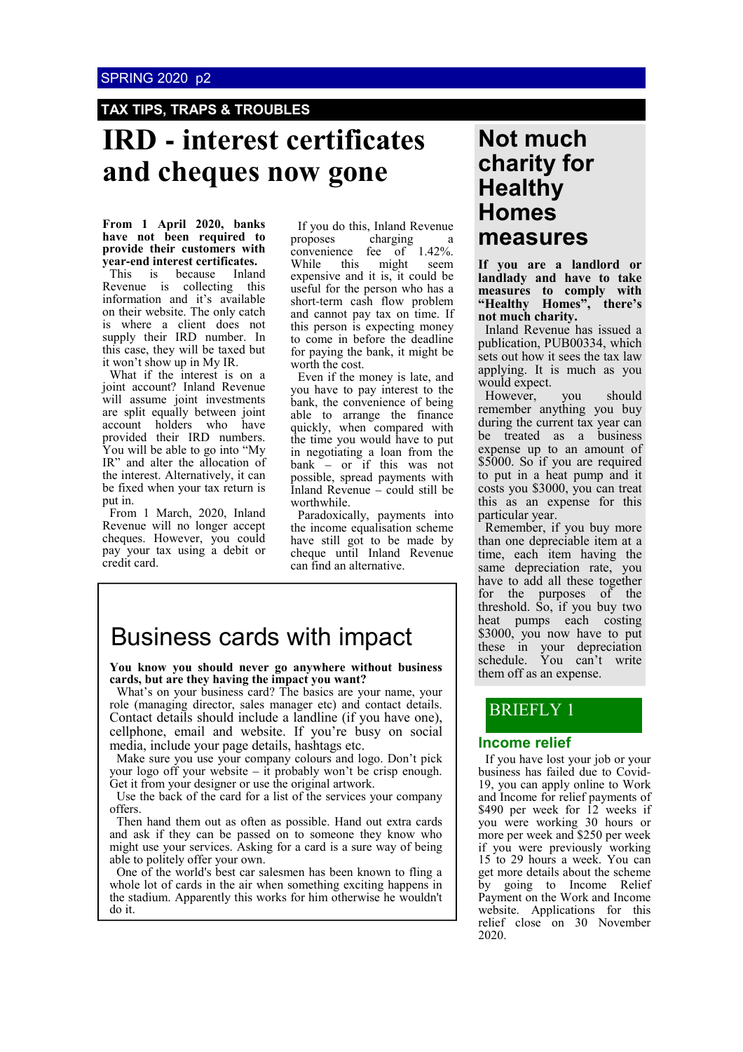#### **TAX TIPS, TRAPS & TROUBLES**

### **IRD - interest certificates and cheques now gone**

**From 1 April 2020, banks have not been required to provide their customers with year-end interest certificates.**  This is because Inland Revenue is collecting this information and it's available on their website. The only catch

is where a client does not supply their IRD number. In this case, they will be taxed but it won't show up in My IR.

What if the interest is on a joint account? Inland Revenue will assume joint investments are split equally between joint account holders who have provided their IRD numbers. You will be able to go into "My IR" and alter the allocation of the interest. Alternatively, it can be fixed when your tax return is put in.

From 1 March, 2020, Inland Revenue will no longer accept cheques. However, you could pay your tax using a debit or credit card.

If you do this, Inland Revenue<br>proposes charging a charging a convenience fee of 1.42%. While this might seem expensive and it is, it could be useful for the person who has a short-term cash flow problem and cannot pay tax on time. If this person is expecting money to come in before the deadline for paying the bank, it might be worth the cost.

Even if the money is late, and you have to pay interest to the bank, the convenience of being able to arrange the finance quickly, when compared with the time you would have to put in negotiating a loan from the bank – or if this was not possible, spread payments with Inland Revenue – could still be worthwhile.

Paradoxically, payments into the income equalisation scheme have still got to be made by cheque until Inland Revenue can find an alternative.

### Business cards with impact

**You know you should never go anywhere without business cards, but are they having the impact you want?**

What's on your business card? The basics are your name, your role (managing director, sales manager etc) and contact details. Contact details should include a landline (if you have one), cellphone, email and website. If you're busy on social media, include your page details, hashtags etc.

Make sure you use your company colours and logo. Don't pick your logo off your website – it probably won't be crisp enough. Get it from your designer or use the original artwork.

Use the back of the card for a list of the services your company offers.

Then hand them out as often as possible. Hand out extra cards and ask if they can be passed on to someone they know who might use your services. Asking for a card is a sure way of being able to politely offer your own.

One of the world's best car salesmen has been known to fling a whole lot of cards in the air when something exciting happens in the stadium. Apparently this works for him otherwise he wouldn't do it.

### **Not much charity for Healthy Homes measures**

**If you are a landlord or landlady and have to take measures to comply with "Healthy Homes", there's not much charity.** 

Inland Revenue has issued a publication, PUB00334, which sets out how it sees the tax law applying. It is much as you would expect.

However, you should remember anything you buy during the current tax year can be treated as a business expense up to an amount of \$5000. So if you are required to put in a heat pump and it costs you \$3000, you can treat this as an expense for this particular year.

Remember, if you buy more than one depreciable item at a time, each item having the same depreciation rate, you have to add all these together for the purposes of the threshold. So, if you buy two heat pumps each costing \$3000, you now have to put these in your depreciation schedule. You can't write them off as an expense.

### BRIEFLY 1

#### **Income relief**

If you have lost your job or your business has failed due to Covid-19, you can apply online to Work and Income for relief payments of \$490 per week for 12 weeks if you were working 30 hours or more per week and \$250 per week if you were previously working 15 to 29 hours a week. You can get more details about the scheme by going to Income Relief Payment on the Work and Income website. Applications for this relief close on 30 November 2020.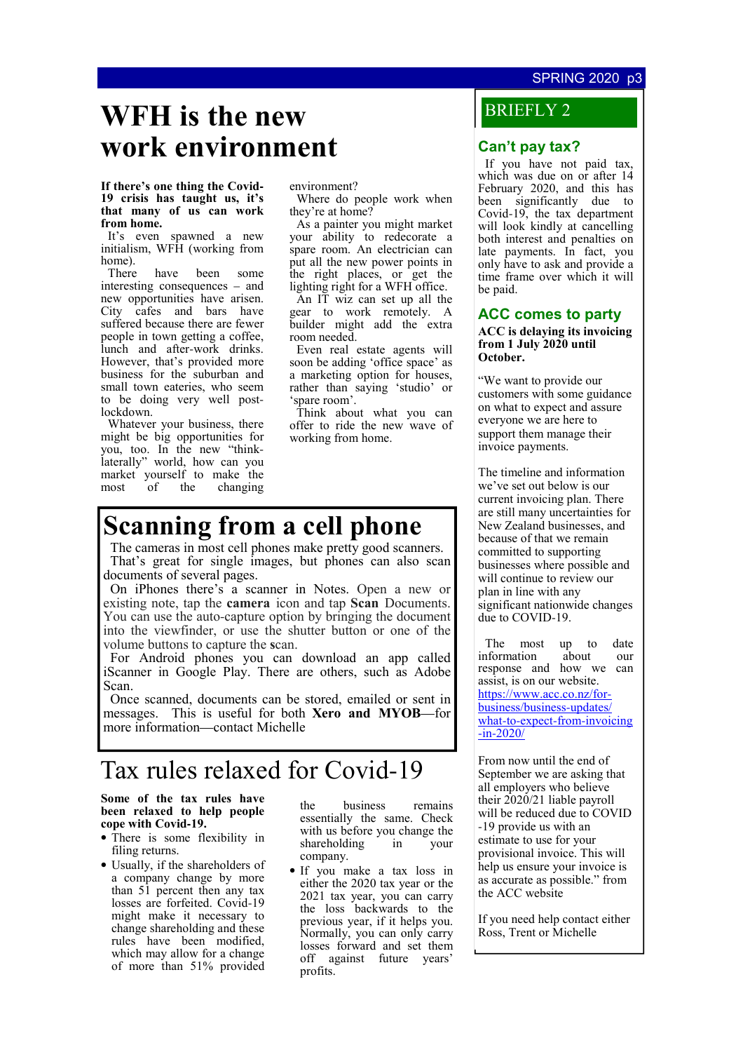#### SPRING 2020 p3

### **WFH is the new work environment**

#### **If there's one thing the Covid-19 crisis has taught us, it's that many of us can work from home.**

It's even spawned a new initialism, WFH (working from home).<br>There

have been some interesting consequences – and new opportunities have arisen. City cafes and bars have suffered because there are fewer people in town getting a coffee, lunch and after-work drinks. However, that's provided more business for the suburban and small town eateries, who seem to be doing very well postlockdown.

Whatever your business, there might be big opportunities for you, too. In the new "thinklaterally" world, how can you market yourself to make the most of the changing

environment?

Where do people work when they're at home?

As a painter you might market your ability to redecorate a spare room. An electrician can put all the new power points in the right places, or get the lighting right for a WFH office.

An IT wiz can set up all the gear to work remotely. A builder might add the extra room needed.

Even real estate agents will soon be adding 'office space' as a marketing option for houses, rather than saying 'studio' or 'spare room'.

Think about what you can offer to ride the new wave of working from home.

### **Scanning from a cell phone**

The cameras in most cell phones make pretty good scanners. That's great for single images, but phones can also scan documents of several pages.

On iPhones there's a scanner in Notes. Open a new or existing note, tap the **camera** icon and tap **Scan** Documents. You can use the auto-capture option by bringing the document into the viewfinder, or use the shutter button or one of the volume buttons to capture the **s**can.

For Android phones you can download an app called iScanner in Google Play. There are others, such as Adobe Scan.

Once scanned, documents can be stored, emailed or sent in messages. This is useful for both **Xero and MYOB**—for more information—contact Michelle

### Tax rules relaxed for Covid-19

**Some of the tax rules have been relaxed to help people cope with Covid-19.** 

- There is some flexibility in filing returns.
- Usually, if the shareholders of a company change by more than 51 percent then any tax losses are forfeited. Covid-19 might make it necessary to change shareholding and these rules have been modified, which may allow for a change of more than 51% provided

the business remains essentially the same. Check with us before you change the shareholding in your company.

• If you make a tax loss in either the 2020 tax year or the 2021 tax year, you can carry the loss backwards to the previous year, if it helps you. Normally, you can only carry losses forward and set them off against future years' profits.

### BRIEFLY 2

#### **Can't pay tax?**

If you have not paid tax, which was due on or after 14 February 2020, and this has been significantly due to Covid-19, the tax department will look kindly at cancelling both interest and penalties on late payments. In fact, you only have to ask and provide a time frame over which it will be paid.

#### **ACC comes to party**

#### **ACC is delaying its invoicing from 1 July 2020 until October.**

"We want to provide our customers with some guidance on what to expect and assure everyone we are here to support them manage their invoice payments.

The timeline and information we've set out below is our current invoicing plan. There are still many uncertainties for New Zealand businesses, and because of that we remain committed to supporting businesses where possible and will continue to review our plan in line with any significant nationwide changes due to COVID-19.

The most up to date<br>nformation about our information about our response and how we can assist, is on our website. https://www.acc.co.nz/forbusiness/business-updates/ what-to-expect-from-invoicing -in-2020/

From now until the end of September we are asking that all employers who believe their 2020/21 liable payroll will be reduced due to COVID -19 provide us with an estimate to use for your provisional invoice. This will help us ensure your invoice is as accurate as possible." from the ACC website

If you need help contact either Ross, Trent or Michelle